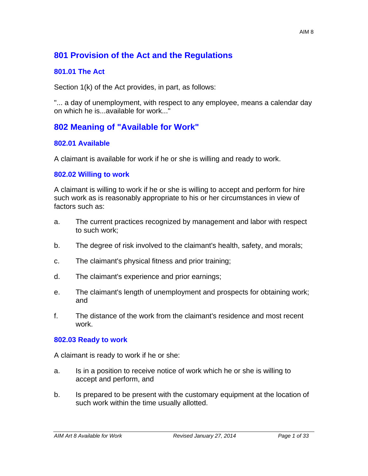# AIM 8

# **801 Provision of the Act and the Regulations**

#### **801.01 The Act**

Section 1(k) of the Act provides, in part, as follows:

"... a day of unemployment, with respect to any employee, means a calendar day on which he is...available for work..."

# **802 Meaning of "Available for Work"**

#### **802.01 Available**

A claimant is available for work if he or she is willing and ready to work.

#### **802.02 Willing to work**

A claimant is willing to work if he or she is willing to accept and perform for hire such work as is reasonably appropriate to his or her circumstances in view of factors such as:

- a. The current practices recognized by management and labor with respect to such work;
- b. The degree of risk involved to the claimant's health, safety, and morals;
- c. The claimant's physical fitness and prior training;
- d. The claimant's experience and prior earnings;
- e. The claimant's length of unemployment and prospects for obtaining work; and
- f. The distance of the work from the claimant's residence and most recent work.

#### **802.03 Ready to work**

A claimant is ready to work if he or she:

- a. Is in a position to receive notice of work which he or she is willing to accept and perform, and
- b. Is prepared to be present with the customary equipment at the location of such work within the time usually allotted.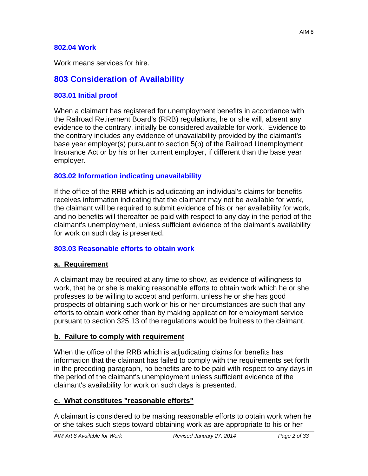#### **802.04 Work**

Work means services for hire.

## **803 Consideration of Availability**

#### **803.01 Initial proof**

When a claimant has registered for unemployment benefits in accordance with the Railroad Retirement Board's (RRB) regulations, he or she will, absent any evidence to the contrary, initially be considered available for work. Evidence to the contrary includes any evidence of unavailability provided by the claimant's base year employer(s) pursuant to section 5(b) of the Railroad Unemployment Insurance Act or by his or her current employer, if different than the base year employer.

#### **803.02 Information indicating unavailability**

If the office of the RRB which is adjudicating an individual's claims for benefits receives information indicating that the claimant may not be available for work, the claimant will be required to submit evidence of his or her availability for work, and no benefits will thereafter be paid with respect to any day in the period of the claimant's unemployment, unless sufficient evidence of the claimant's availability for work on such day is presented.

#### **803.03 Reasonable efforts to obtain work**

#### **a. Requirement**

A claimant may be required at any time to show, as evidence of willingness to work, that he or she is making reasonable efforts to obtain work which he or she professes to be willing to accept and perform, unless he or she has good prospects of obtaining such work or his or her circumstances are such that any efforts to obtain work other than by making application for employment service pursuant to section 325.13 of the regulations would be fruitless to the claimant.

#### **b. Failure to comply with requirement**

When the office of the RRB which is adjudicating claims for benefits has information that the claimant has failed to comply with the requirements set forth in the preceding paragraph, no benefits are to be paid with respect to any days in the period of the claimant's unemployment unless sufficient evidence of the claimant's availability for work on such days is presented.

#### **c. What constitutes "reasonable efforts"**

A claimant is considered to be making reasonable efforts to obtain work when he or she takes such steps toward obtaining work as are appropriate to his or her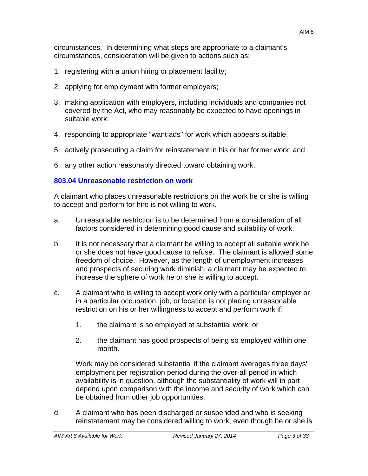circumstances. In determining what steps are appropriate to a claimant's circumstances, consideration will be given to actions such as:

- 1. registering with a union hiring or placement facility;
- 2. applying for employment with former employers;
- 3. making application with employers, including individuals and companies not covered by the Act, who may reasonably be expected to have openings in suitable work;
- 4. responding to appropriate "want ads" for work which appears suitable;
- 5. actively prosecuting a claim for reinstatement in his or her former work; and
- 6. any other action reasonably directed toward obtaining work.

#### **803.04 Unreasonable restriction on work**

A claimant who places unreasonable restrictions on the work he or she is willing to accept and perform for hire is not willing to work.

- a. Unreasonable restriction is to be determined from a consideration of all factors considered in determining good cause and suitability of work.
- b. It is not necessary that a claimant be willing to accept all suitable work he or she does not have good cause to refuse. The claimant is allowed some freedom of choice. However, as the length of unemployment increases and prospects of securing work diminish, a claimant may be expected to increase the sphere of work he or she is willing to accept.
- c. A claimant who is willing to accept work only with a particular employer or in a particular occupation, job, or location is not placing unreasonable restriction on his or her willingness to accept and perform work if:
	- 1. the claimant is so employed at substantial work, or
	- 2. the claimant has good prospects of being so employed within one month.

Work may be considered substantial if the claimant averages three days' employment per registration period during the over-all period in which availability is in question, although the substantiality of work will in part depend upon comparison with the income and security of work which can be obtained from other job opportunities.

d. A claimant who has been discharged or suspended and who is seeking reinstatement may be considered willing to work, even though he or she is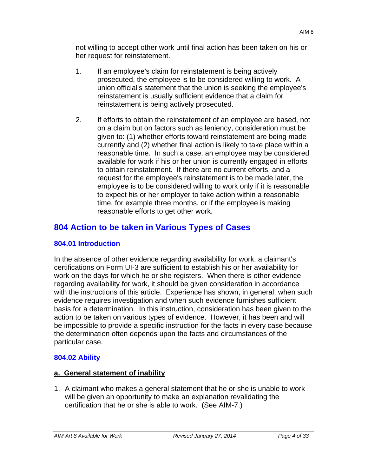not willing to accept other work until final action has been taken on his or her request for reinstatement.

- 1. If an employee's claim for reinstatement is being actively prosecuted, the employee is to be considered willing to work. A union official's statement that the union is seeking the employee's reinstatement is usually sufficient evidence that a claim for reinstatement is being actively prosecuted.
- 2. If efforts to obtain the reinstatement of an employee are based, not on a claim but on factors such as leniency, consideration must be given to: (1) whether efforts toward reinstatement are being made currently and (2) whether final action is likely to take place within a reasonable time. In such a case, an employee may be considered available for work if his or her union is currently engaged in efforts to obtain reinstatement. If there are no current efforts, and a request for the employee's reinstatement is to be made later, the employee is to be considered willing to work only if it is reasonable to expect his or her employer to take action within a reasonable time, for example three months, or if the employee is making reasonable efforts to get other work.

# **804 Action to be taken in Various Types of Cases**

## **804.01 Introduction**

In the absence of other evidence regarding availability for work, a claimant's certifications on Form UI-3 are sufficient to establish his or her availability for work on the days for which he or she registers. When there is other evidence regarding availability for work, it should be given consideration in accordance with the instructions of this article. Experience has shown, in general, when such evidence requires investigation and when such evidence furnishes sufficient basis for a determination. In this instruction, consideration has been given to the action to be taken on various types of evidence. However, it has been and will be impossible to provide a specific instruction for the facts in every case because the determination often depends upon the facts and circumstances of the particular case.

# **804.02 Ability**

# **a. General statement of inability**

1. A claimant who makes a general statement that he or she is unable to work will be given an opportunity to make an explanation revalidating the certification that he or she is able to work. (See AIM-7.)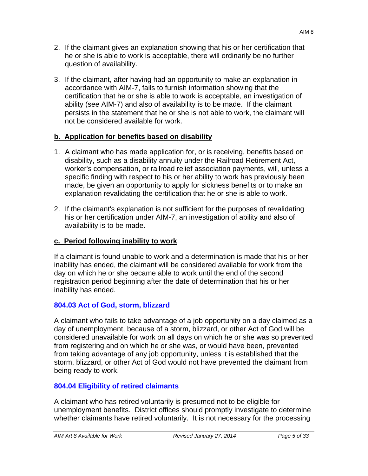- 2. If the claimant gives an explanation showing that his or her certification that he or she is able to work is acceptable, there will ordinarily be no further question of availability.
- 3. If the claimant, after having had an opportunity to make an explanation in accordance with AIM-7, fails to furnish information showing that the certification that he or she is able to work is acceptable, an investigation of ability (see AIM-7) and also of availability is to be made. If the claimant persists in the statement that he or she is not able to work, the claimant will not be considered available for work.

# **b. Application for benefits based on disability**

- 1. A claimant who has made application for, or is receiving, benefits based on disability, such as a disability annuity under the Railroad Retirement Act, worker's compensation, or railroad relief association payments, will, unless a specific finding with respect to his or her ability to work has previously been made, be given an opportunity to apply for sickness benefits or to make an explanation revalidating the certification that he or she is able to work.
- 2. If the claimant's explanation is not sufficient for the purposes of revalidating his or her certification under AIM-7, an investigation of ability and also of availability is to be made.

## **c. Period following inability to work**

If a claimant is found unable to work and a determination is made that his or her inability has ended, the claimant will be considered available for work from the day on which he or she became able to work until the end of the second registration period beginning after the date of determination that his or her inability has ended.

# **804.03 Act of God, storm, blizzard**

A claimant who fails to take advantage of a job opportunity on a day claimed as a day of unemployment, because of a storm, blizzard, or other Act of God will be considered unavailable for work on all days on which he or she was so prevented from registering and on which he or she was, or would have been, prevented from taking advantage of any job opportunity, unless it is established that the storm, blizzard, or other Act of God would not have prevented the claimant from being ready to work.

# **804.04 Eligibility of retired claimants**

A claimant who has retired voluntarily is presumed not to be eligible for unemployment benefits. District offices should promptly investigate to determine whether claimants have retired voluntarily. It is not necessary for the processing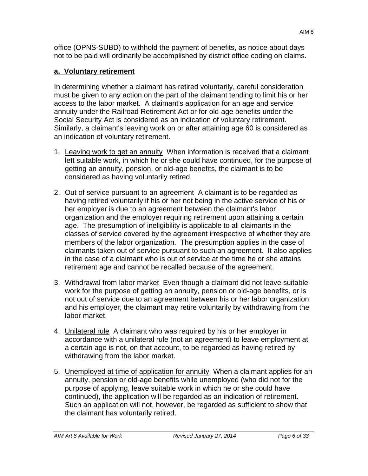office (OPNS-SUBD) to withhold the payment of benefits, as notice about days not to be paid will ordinarily be accomplished by district office coding on claims.

# **a. Voluntary retirement**

In determining whether a claimant has retired voluntarily, careful consideration must be given to any action on the part of the claimant tending to limit his or her access to the labor market. A claimant's application for an age and service annuity under the Railroad Retirement Act or for old-age benefits under the Social Security Act is considered as an indication of voluntary retirement. Similarly, a claimant's leaving work on or after attaining age 60 is considered as an indication of voluntary retirement.

- 1. Leaving work to get an annuity When information is received that a claimant left suitable work, in which he or she could have continued, for the purpose of getting an annuity, pension, or old-age benefits, the claimant is to be considered as having voluntarily retired.
- 2. Out of service pursuant to an agreement A claimant is to be regarded as having retired voluntarily if his or her not being in the active service of his or her employer is due to an agreement between the claimant's labor organization and the employer requiring retirement upon attaining a certain age. The presumption of ineligibility is applicable to all claimants in the classes of service covered by the agreement irrespective of whether they are members of the labor organization. The presumption applies in the case of claimants taken out of service pursuant to such an agreement. It also applies in the case of a claimant who is out of service at the time he or she attains retirement age and cannot be recalled because of the agreement.
- 3. Withdrawal from labor market Even though a claimant did not leave suitable work for the purpose of getting an annuity, pension or old-age benefits, or is not out of service due to an agreement between his or her labor organization and his employer, the claimant may retire voluntarily by withdrawing from the labor market.
- 4. Unilateral rule A claimant who was required by his or her employer in accordance with a unilateral rule (not an agreement) to leave employment at a certain age is not, on that account, to be regarded as having retired by withdrawing from the labor market.
- 5. Unemployed at time of application for annuity When a claimant applies for an annuity, pension or old-age benefits while unemployed (who did not for the purpose of applying, leave suitable work in which he or she could have continued), the application will be regarded as an indication of retirement. Such an application will not, however, be regarded as sufficient to show that the claimant has voluntarily retired.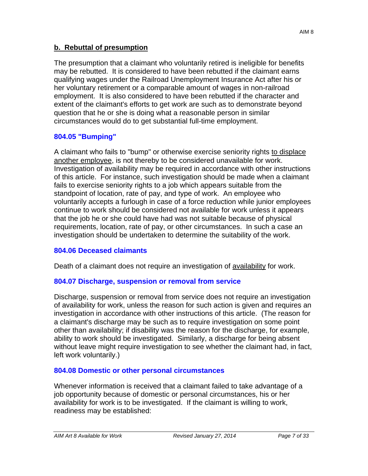#### **b. Rebuttal of presumption**

The presumption that a claimant who voluntarily retired is ineligible for benefits may be rebutted. It is considered to have been rebutted if the claimant earns qualifying wages under the Railroad Unemployment Insurance Act after his or her voluntary retirement or a comparable amount of wages in non-railroad employment. It is also considered to have been rebutted if the character and extent of the claimant's efforts to get work are such as to demonstrate beyond question that he or she is doing what a reasonable person in similar circumstances would do to get substantial full-time employment.

### **804.05 "Bumping"**

A claimant who fails to "bump" or otherwise exercise seniority rights to displace another employee, is not thereby to be considered unavailable for work. Investigation of availability may be required in accordance with other instructions of this article. For instance, such investigation should be made when a claimant fails to exercise seniority rights to a job which appears suitable from the standpoint of location, rate of pay, and type of work. An employee who voluntarily accepts a furlough in case of a force reduction while junior employees continue to work should be considered not available for work unless it appears that the job he or she could have had was not suitable because of physical requirements, location, rate of pay, or other circumstances. In such a case an investigation should be undertaken to determine the suitability of the work.

#### **804.06 Deceased claimants**

Death of a claimant does not require an investigation of availability for work.

#### **804.07 Discharge, suspension or removal from service**

Discharge, suspension or removal from service does not require an investigation of availability for work, unless the reason for such action is given and requires an investigation in accordance with other instructions of this article. (The reason for a claimant's discharge may be such as to require investigation on some point other than availability; if disability was the reason for the discharge, for example, ability to work should be investigated. Similarly, a discharge for being absent without leave might require investigation to see whether the claimant had, in fact, left work voluntarily.)

#### **804.08 Domestic or other personal circumstances**

Whenever information is received that a claimant failed to take advantage of a job opportunity because of domestic or personal circumstances, his or her availability for work is to be investigated. If the claimant is willing to work, readiness may be established: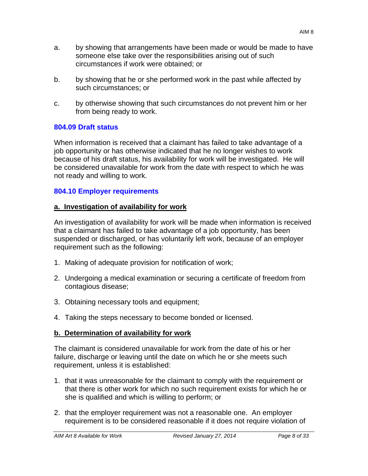- a. by showing that arrangements have been made or would be made to have someone else take over the responsibilities arising out of such circumstances if work were obtained; or
- b. by showing that he or she performed work in the past while affected by such circumstances; or
- c. by otherwise showing that such circumstances do not prevent him or her from being ready to work.

### **804.09 Draft status**

When information is received that a claimant has failed to take advantage of a job opportunity or has otherwise indicated that he no longer wishes to work because of his draft status, his availability for work will be investigated. He will be considered unavailable for work from the date with respect to which he was not ready and willing to work.

### **804.10 Employer requirements**

### **a. Investigation of availability for work**

An investigation of availability for work will be made when information is received that a claimant has failed to take advantage of a job opportunity, has been suspended or discharged, or has voluntarily left work, because of an employer requirement such as the following:

- 1. Making of adequate provision for notification of work;
- 2. Undergoing a medical examination or securing a certificate of freedom from contagious disease;
- 3. Obtaining necessary tools and equipment;
- 4. Taking the steps necessary to become bonded or licensed.

## **b. Determination of availability for work**

The claimant is considered unavailable for work from the date of his or her failure, discharge or leaving until the date on which he or she meets such requirement, unless it is established:

- 1. that it was unreasonable for the claimant to comply with the requirement or that there is other work for which no such requirement exists for which he or she is qualified and which is willing to perform; or
- 2. that the employer requirement was not a reasonable one. An employer requirement is to be considered reasonable if it does not require violation of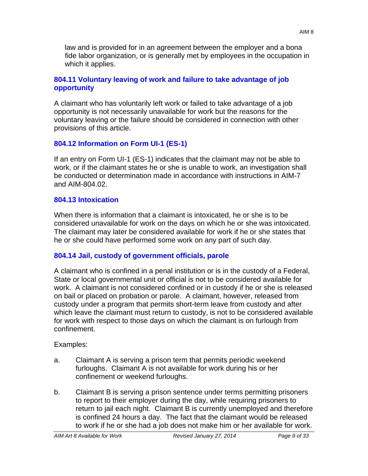law and is provided for in an agreement between the employer and a bona fide labor organization, or is generally met by employees in the occupation in which it applies.

### **804.11 Voluntary leaving of work and failure to take advantage of job opportunity**

A claimant who has voluntarily left work or failed to take advantage of a job opportunity is not necessarily unavailable for work but the reasons for the voluntary leaving or the failure should be considered in connection with other provisions of this article.

## **804.12 Information on Form UI-1 (ES-1)**

If an entry on Form UI-1 (ES-1) indicates that the claimant may not be able to work, or if the claimant states he or she is unable to work, an investigation shall be conducted or determination made in accordance with instructions in AIM-7 and AIM-804.02.

## **804.13 Intoxication**

When there is information that a claimant is intoxicated, he or she is to be considered unavailable for work on the days on which he or she was intoxicated. The claimant may later be considered available for work if he or she states that he or she could have performed some work on any part of such day.

# **804.14 Jail, custody of government officials, parole**

A claimant who is confined in a penal institution or is in the custody of a Federal, State or local governmental unit or official is not to be considered available for work. A claimant is not considered confined or in custody if he or she is released on bail or placed on probation or parole. A claimant, however, released from custody under a program that permits short-term leave from custody and after which leave the claimant must return to custody, is not to be considered available for work with respect to those days on which the claimant is on furlough from confinement.

## Examples:

- a. Claimant A is serving a prison term that permits periodic weekend furloughs. Claimant A is not available for work during his or her confinement or weekend furloughs.
- b. Claimant B is serving a prison sentence under terms permitting prisoners to report to their employer during the day, while requiring prisoners to return to jail each night. Claimant B is currently unemployed and therefore is confined 24 hours a day. The fact that the claimant would be released to work if he or she had a job does not make him or her available for work.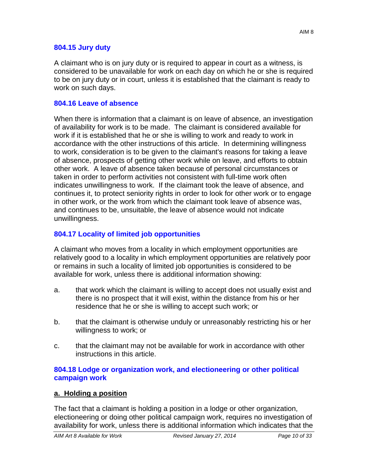#### **804.15 Jury duty**

A claimant who is on jury duty or is required to appear in court as a witness, is considered to be unavailable for work on each day on which he or she is required to be on jury duty or in court, unless it is established that the claimant is ready to work on such days.

#### **804.16 Leave of absence**

When there is information that a claimant is on leave of absence, an investigation of availability for work is to be made. The claimant is considered available for work if it is established that he or she is willing to work and ready to work in accordance with the other instructions of this article. In determining willingness to work, consideration is to be given to the claimant's reasons for taking a leave of absence, prospects of getting other work while on leave, and efforts to obtain other work. A leave of absence taken because of personal circumstances or taken in order to perform activities not consistent with full-time work often indicates unwillingness to work. If the claimant took the leave of absence, and continues it, to protect seniority rights in order to look for other work or to engage in other work, or the work from which the claimant took leave of absence was, and continues to be, unsuitable, the leave of absence would not indicate unwillingness.

### **804.17 Locality of limited job opportunities**

A claimant who moves from a locality in which employment opportunities are relatively good to a locality in which employment opportunities are relatively poor or remains in such a locality of limited job opportunities is considered to be available for work, unless there is additional information showing:

- a. that work which the claimant is willing to accept does not usually exist and there is no prospect that it will exist, within the distance from his or her residence that he or she is willing to accept such work; or
- b. that the claimant is otherwise unduly or unreasonably restricting his or her willingness to work; or
- c. that the claimant may not be available for work in accordance with other instructions in this article.

#### **804.18 Lodge or organization work, and electioneering or other political campaign work**

#### **a. Holding a position**

The fact that a claimant is holding a position in a lodge or other organization, electioneering or doing other political campaign work, requires no investigation of availability for work, unless there is additional information which indicates that the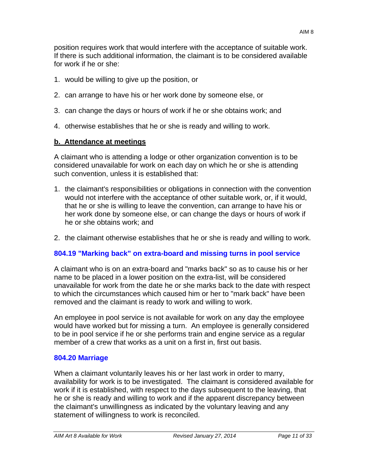position requires work that would interfere with the acceptance of suitable work. If there is such additional information, the claimant is to be considered available for work if he or she:

- 1. would be willing to give up the position, or
- 2. can arrange to have his or her work done by someone else, or
- 3. can change the days or hours of work if he or she obtains work; and
- 4. otherwise establishes that he or she is ready and willing to work.

### **b. Attendance at meetings**

A claimant who is attending a lodge or other organization convention is to be considered unavailable for work on each day on which he or she is attending such convention, unless it is established that:

- 1. the claimant's responsibilities or obligations in connection with the convention would not interfere with the acceptance of other suitable work, or, if it would, that he or she is willing to leave the convention, can arrange to have his or her work done by someone else, or can change the days or hours of work if he or she obtains work; and
- 2. the claimant otherwise establishes that he or she is ready and willing to work.

## **804.19 "Marking back" on extra-board and missing turns in pool service**

A claimant who is on an extra-board and "marks back" so as to cause his or her name to be placed in a lower position on the extra-list, will be considered unavailable for work from the date he or she marks back to the date with respect to which the circumstances which caused him or her to "mark back" have been removed and the claimant is ready to work and willing to work.

An employee in pool service is not available for work on any day the employee would have worked but for missing a turn. An employee is generally considered to be in pool service if he or she performs train and engine service as a regular member of a crew that works as a unit on a first in, first out basis.

#### **804.20 Marriage**

When a claimant voluntarily leaves his or her last work in order to marry, availability for work is to be investigated. The claimant is considered available for work if it is established, with respect to the days subsequent to the leaving, that he or she is ready and willing to work and if the apparent discrepancy between the claimant's unwillingness as indicated by the voluntary leaving and any statement of willingness to work is reconciled.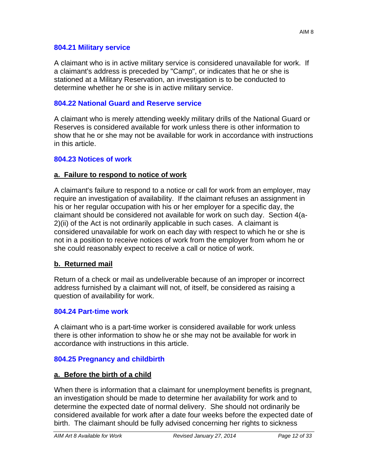#### **804.21 Military service**

A claimant who is in active military service is considered unavailable for work. If a claimant's address is preceded by "Camp", or indicates that he or she is stationed at a Military Reservation, an investigation is to be conducted to determine whether he or she is in active military service.

### **804.22 National Guard and Reserve service**

A claimant who is merely attending weekly military drills of the National Guard or Reserves is considered available for work unless there is other information to show that he or she may not be available for work in accordance with instructions in this article.

#### **804.23 Notices of work**

### **a. Failure to respond to notice of work**

A claimant's failure to respond to a notice or call for work from an employer, may require an investigation of availability. If the claimant refuses an assignment in his or her regular occupation with his or her employer for a specific day, the claimant should be considered not available for work on such day. Section 4(a-2)(ii) of the Act is not ordinarily applicable in such cases. A claimant is considered unavailable for work on each day with respect to which he or she is not in a position to receive notices of work from the employer from whom he or she could reasonably expect to receive a call or notice of work.

#### **b. Returned mail**

Return of a check or mail as undeliverable because of an improper or incorrect address furnished by a claimant will not, of itself, be considered as raising a question of availability for work.

#### **804.24 Part-time work**

A claimant who is a part-time worker is considered available for work unless there is other information to show he or she may not be available for work in accordance with instructions in this article.

## **804.25 Pregnancy and childbirth**

#### **a. Before the birth of a child**

When there is information that a claimant for unemployment benefits is pregnant, an investigation should be made to determine her availability for work and to determine the expected date of normal delivery. She should not ordinarily be considered available for work after a date four weeks before the expected date of birth. The claimant should be fully advised concerning her rights to sickness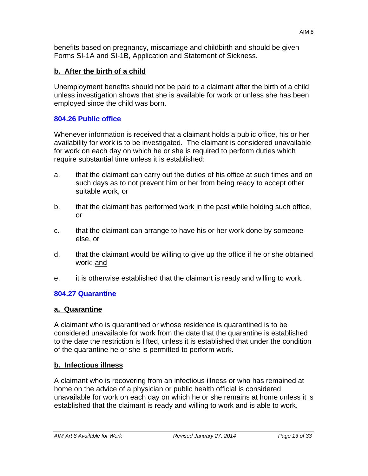benefits based on pregnancy, miscarriage and childbirth and should be given Forms SI-1A and SI-1B, Application and Statement of Sickness.

### **b. After the birth of a child**

Unemployment benefits should not be paid to a claimant after the birth of a child unless investigation shows that she is available for work or unless she has been employed since the child was born.

### **804.26 Public office**

Whenever information is received that a claimant holds a public office, his or her availability for work is to be investigated. The claimant is considered unavailable for work on each day on which he or she is required to perform duties which require substantial time unless it is established:

- a. that the claimant can carry out the duties of his office at such times and on such days as to not prevent him or her from being ready to accept other suitable work, or
- b. that the claimant has performed work in the past while holding such office, or
- c. that the claimant can arrange to have his or her work done by someone else, or
- d. that the claimant would be willing to give up the office if he or she obtained work; and
- e. it is otherwise established that the claimant is ready and willing to work.

## **804.27 Quarantine**

#### **a. Quarantine**

A claimant who is quarantined or whose residence is quarantined is to be considered unavailable for work from the date that the quarantine is established to the date the restriction is lifted, unless it is established that under the condition of the quarantine he or she is permitted to perform work.

## **b. Infectious illness**

A claimant who is recovering from an infectious illness or who has remained at home on the advice of a physician or public health official is considered unavailable for work on each day on which he or she remains at home unless it is established that the claimant is ready and willing to work and is able to work.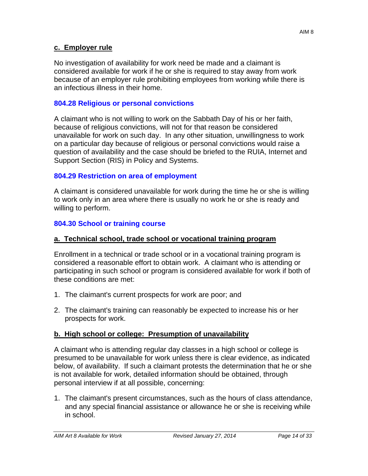No investigation of availability for work need be made and a claimant is considered available for work if he or she is required to stay away from work because of an employer rule prohibiting employees from working while there is an infectious illness in their home.

## **804.28 Religious or personal convictions**

A claimant who is not willing to work on the Sabbath Day of his or her faith, because of religious convictions, will not for that reason be considered unavailable for work on such day. In any other situation, unwillingness to work on a particular day because of religious or personal convictions would raise a question of availability and the case should be briefed to the RUIA, Internet and Support Section (RIS) in Policy and Systems.

## **804.29 Restriction on area of employment**

A claimant is considered unavailable for work during the time he or she is willing to work only in an area where there is usually no work he or she is ready and willing to perform.

# **804.30 School or training course**

## **a. Technical school, trade school or vocational training program**

Enrollment in a technical or trade school or in a vocational training program is considered a reasonable effort to obtain work. A claimant who is attending or participating in such school or program is considered available for work if both of these conditions are met:

- 1. The claimant's current prospects for work are poor; and
- 2. The claimant's training can reasonably be expected to increase his or her prospects for work.

## **b. High school or college: Presumption of unavailability**

A claimant who is attending regular day classes in a high school or college is presumed to be unavailable for work unless there is clear evidence, as indicated below, of availability. If such a claimant protests the determination that he or she is not available for work, detailed information should be obtained, through personal interview if at all possible, concerning:

1. The claimant's present circumstances, such as the hours of class attendance, and any special financial assistance or allowance he or she is receiving while in school.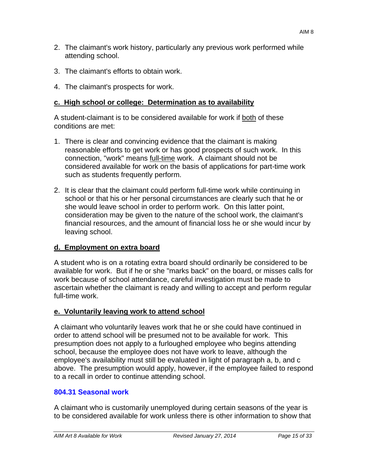- 2. The claimant's work history, particularly any previous work performed while attending school.
- 3. The claimant's efforts to obtain work.
- 4. The claimant's prospects for work.

## **c. High school or college: Determination as to availability**

A student-claimant is to be considered available for work if both of these conditions are met:

- 1. There is clear and convincing evidence that the claimant is making reasonable efforts to get work or has good prospects of such work. In this connection, "work" means full-time work. A claimant should not be considered available for work on the basis of applications for part-time work such as students frequently perform.
- 2. It is clear that the claimant could perform full-time work while continuing in school or that his or her personal circumstances are clearly such that he or she would leave school in order to perform work. On this latter point, consideration may be given to the nature of the school work, the claimant's financial resources, and the amount of financial loss he or she would incur by leaving school.

# **d. Employment on extra board**

A student who is on a rotating extra board should ordinarily be considered to be available for work. But if he or she "marks back" on the board, or misses calls for work because of school attendance, careful investigation must be made to ascertain whether the claimant is ready and willing to accept and perform regular full-time work.

## **e. Voluntarily leaving work to attend school**

A claimant who voluntarily leaves work that he or she could have continued in order to attend school will be presumed not to be available for work. This presumption does not apply to a furloughed employee who begins attending school, because the employee does not have work to leave, although the employee's availability must still be evaluated in light of paragraph a, b, and c above. The presumption would apply, however, if the employee failed to respond to a recall in order to continue attending school.

## **804.31 Seasonal work**

A claimant who is customarily unemployed during certain seasons of the year is to be considered available for work unless there is other information to show that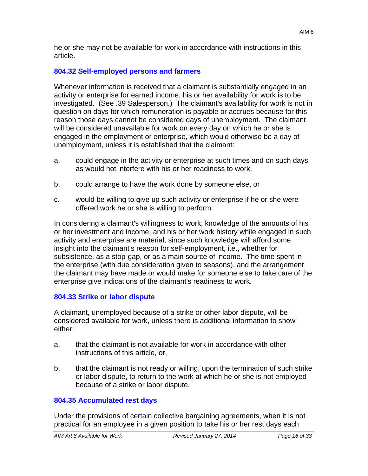# **804.32 Self-employed persons and farmers**

Whenever information is received that a claimant is substantially engaged in an activity or enterprise for earned income, his or her availability for work is to be investigated. (See .39 Salesperson.) The claimant's availability for work is not in question on days for which remuneration is payable or accrues because for this reason those days cannot be considered days of unemployment. The claimant will be considered unavailable for work on every day on which he or she is engaged in the employment or enterprise, which would otherwise be a day of unemployment, unless it is established that the claimant:

- a. could engage in the activity or enterprise at such times and on such days as would not interfere with his or her readiness to work.
- b. could arrange to have the work done by someone else, or
- c. would be willing to give up such activity or enterprise if he or she were offered work he or she is willing to perform.

In considering a claimant's willingness to work, knowledge of the amounts of his or her investment and income, and his or her work history while engaged in such activity and enterprise are material, since such knowledge will afford some insight into the claimant's reason for self-employment, i.e., whether for subsistence, as a stop-gap, or as a main source of income. The time spent in the enterprise (with due consideration given to seasons), and the arrangement the claimant may have made or would make for someone else to take care of the enterprise give indications of the claimant's readiness to work.

# **804.33 Strike or labor dispute**

A claimant, unemployed because of a strike or other labor dispute, will be considered available for work, unless there is additional information to show either:

- a. that the claimant is not available for work in accordance with other instructions of this article, or,
- b. that the claimant is not ready or willing, upon the termination of such strike or labor dispute, to return to the work at which he or she is not employed because of a strike or labor dispute.

# **804.35 Accumulated rest days**

Under the provisions of certain collective bargaining agreements, when it is not practical for an employee in a given position to take his or her rest days each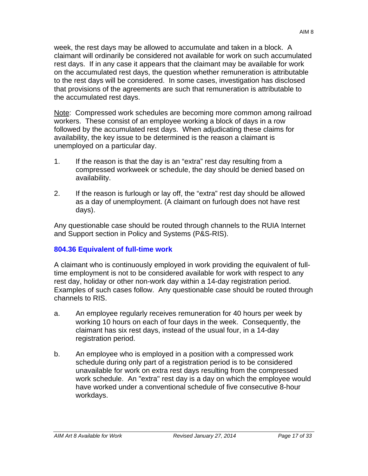week, the rest days may be allowed to accumulate and taken in a block. A claimant will ordinarily be considered not available for work on such accumulated rest days. If in any case it appears that the claimant may be available for work on the accumulated rest days, the question whether remuneration is attributable to the rest days will be considered. In some cases, investigation has disclosed that provisions of the agreements are such that remuneration is attributable to the accumulated rest days.

Note: Compressed work schedules are becoming more common among railroad workers. These consist of an employee working a block of days in a row followed by the accumulated rest days. When adjudicating these claims for availability, the key issue to be determined is the reason a claimant is unemployed on a particular day.

- 1. If the reason is that the day is an "extra" rest day resulting from a compressed workweek or schedule, the day should be denied based on availability.
- 2. If the reason is furlough or lay off, the "extra" rest day should be allowed as a day of unemployment. (A claimant on furlough does not have rest days).

Any questionable case should be routed through channels to the RUIA Internet and Support section in Policy and Systems (P&S-RIS).

## **804.36 Equivalent of full-time work**

A claimant who is continuously employed in work providing the equivalent of fulltime employment is not to be considered available for work with respect to any rest day, holiday or other non-work day within a 14-day registration period. Examples of such cases follow. Any questionable case should be routed through channels to RIS.

- a. An employee regularly receives remuneration for 40 hours per week by working 10 hours on each of four days in the week. Consequently, the claimant has six rest days, instead of the usual four, in a 14-day registration period.
- b. An employee who is employed in a position with a compressed work schedule during only part of a registration period is to be considered unavailable for work on extra rest days resulting from the compressed work schedule. An "extra" rest day is a day on which the employee would have worked under a conventional schedule of five consecutive 8-hour workdays.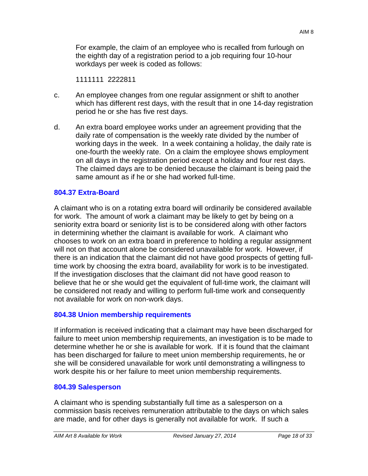For example, the claim of an employee who is recalled from furlough on the eighth day of a registration period to a job requiring four 10-hour workdays per week is coded as follows:

1111111 2222811

- c. An employee changes from one regular assignment or shift to another which has different rest days, with the result that in one 14-day registration period he or she has five rest days.
- d. An extra board employee works under an agreement providing that the daily rate of compensation is the weekly rate divided by the number of working days in the week. In a week containing a holiday, the daily rate is one-fourth the weekly rate. On a claim the employee shows employment on all days in the registration period except a holiday and four rest days. The claimed days are to be denied because the claimant is being paid the same amount as if he or she had worked full-time.

## **804.37 Extra-Board**

A claimant who is on a rotating extra board will ordinarily be considered available for work. The amount of work a claimant may be likely to get by being on a seniority extra board or seniority list is to be considered along with other factors in determining whether the claimant is available for work. A claimant who chooses to work on an extra board in preference to holding a regular assignment will not on that account alone be considered unavailable for work. However, if there is an indication that the claimant did not have good prospects of getting fulltime work by choosing the extra board, availability for work is to be investigated. If the investigation discloses that the claimant did not have good reason to believe that he or she would get the equivalent of full-time work, the claimant will be considered not ready and willing to perform full-time work and consequently not available for work on non-work days.

# **804.38 Union membership requirements**

If information is received indicating that a claimant may have been discharged for failure to meet union membership requirements, an investigation is to be made to determine whether he or she is available for work. If it is found that the claimant has been discharged for failure to meet union membership requirements, he or she will be considered unavailable for work until demonstrating a willingness to work despite his or her failure to meet union membership requirements.

## **804.39 Salesperson**

A claimant who is spending substantially full time as a salesperson on a commission basis receives remuneration attributable to the days on which sales are made, and for other days is generally not available for work. If such a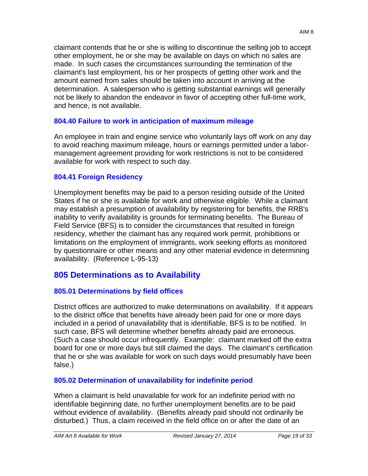claimant contends that he or she is willing to discontinue the selling job to accept other employment, he or she may be available on days on which no sales are made. In such cases the circumstances surrounding the termination of the claimant's last employment, his or her prospects of getting other work and the amount earned from sales should be taken into account in arriving at the determination. A salesperson who is getting substantial earnings will generally not be likely to abandon the endeavor in favor of accepting other full-time work, and hence, is not available.

### **804.40 Failure to work in anticipation of maximum mileage**

An employee in train and engine service who voluntarily lays off work on any day to avoid reaching maximum mileage, hours or earnings permitted under a labormanagement agreement providing for work restrictions is not to be considered available for work with respect to such day.

### **804.41 Foreign Residency**

Unemployment benefits may be paid to a person residing outside of the United States if he or she is available for work and otherwise eligible. While a claimant may establish a presumption of availability by registering for benefits, the RRB's inability to verify availability is grounds for terminating benefits. The Bureau of Field Service (BFS) is to consider the circumstances that resulted in foreign residency, whether the claimant has any required work permit, prohibitions or limitations on the employment of immigrants, work seeking efforts as monitored by questionnaire or other means and any other material evidence in determining availability. (Reference L-95-13)

# **805 Determinations as to Availability**

## **805.01 Determinations by field offices**

District offices are authorized to make determinations on availability. If it appears to the district office that benefits have already been paid for one or more days included in a period of unavailability that is identifiable, BFS is to be notified. In such case, BFS will determine whether benefits already paid are erroneous. (Such a case should occur infrequently. Example: claimant marked off the extra board for one or more days but still claimed the days. The claimant's certification that he or she was available for work on such days would presumably have been false.)

#### **805.02 Determination of unavailability for indefinite period**

When a claimant is held unavailable for work for an indefinite period with no identifiable beginning date, no further unemployment benefits are to be paid without evidence of availability. (Benefits already paid should not ordinarily be disturbed.) Thus, a claim received in the field office on or after the date of an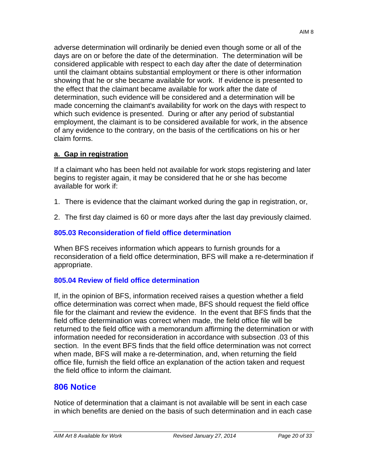adverse determination will ordinarily be denied even though some or all of the days are on or before the date of the determination. The determination will be considered applicable with respect to each day after the date of determination until the claimant obtains substantial employment or there is other information showing that he or she became available for work. If evidence is presented to the effect that the claimant became available for work after the date of determination, such evidence will be considered and a determination will be made concerning the claimant's availability for work on the days with respect to which such evidence is presented. During or after any period of substantial employment, the claimant is to be considered available for work, in the absence of any evidence to the contrary, on the basis of the certifications on his or her claim forms.

### **a. Gap in registration**

If a claimant who has been held not available for work stops registering and later begins to register again, it may be considered that he or she has become available for work if:

- 1. There is evidence that the claimant worked during the gap in registration, or,
- 2. The first day claimed is 60 or more days after the last day previously claimed.

# **805.03 Reconsideration of field office determination**

When BFS receives information which appears to furnish grounds for a reconsideration of a field office determination, BFS will make a re-determination if appropriate.

# **805.04 Review of field office determination**

If, in the opinion of BFS, information received raises a question whether a field office determination was correct when made, BFS should request the field office file for the claimant and review the evidence. In the event that BFS finds that the field office determination was correct when made, the field office file will be returned to the field office with a memorandum affirming the determination or with information needed for reconsideration in accordance with subsection .03 of this section. In the event BFS finds that the field office determination was not correct when made, BFS will make a re-determination, and, when returning the field office file, furnish the field office an explanation of the action taken and request the field office to inform the claimant.

# **806 Notice**

Notice of determination that a claimant is not available will be sent in each case in which benefits are denied on the basis of such determination and in each case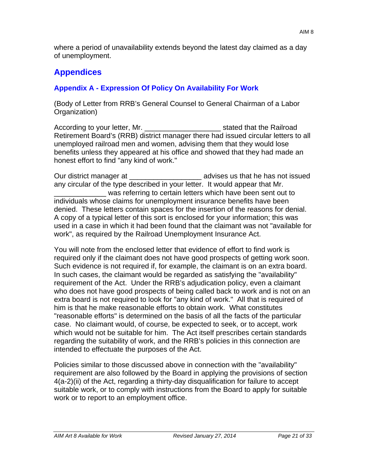where a period of unavailability extends beyond the latest day claimed as a day of unemployment.

# **Appendices**

## **Appendix A - Expression Of Policy On Availability For Work**

(Body of Letter from RRB's General Counsel to General Chairman of a Labor Organization)

According to your letter, Mr. The Controller stated that the Railroad Retirement Board's (RRB) district manager there had issued circular letters to all unemployed railroad men and women, advising them that they would lose benefits unless they appeared at his office and showed that they had made an honest effort to find "any kind of work."

Our district manager at the networking advises us that he has not issued any circular of the type described in your letter. It would appear that Mr. was referring to certain letters which have been sent out to individuals whose claims for unemployment insurance benefits have been denied. These letters contain spaces for the insertion of the reasons for denial. A copy of a typical letter of this sort is enclosed for your information; this was used in a case in which it had been found that the claimant was not "available for work", as required by the Railroad Unemployment Insurance Act.

You will note from the enclosed letter that evidence of effort to find work is required only if the claimant does not have good prospects of getting work soon. Such evidence is not required if, for example, the claimant is on an extra board. In such cases, the claimant would be regarded as satisfying the "availability" requirement of the Act. Under the RRB's adjudication policy, even a claimant who does not have good prospects of being called back to work and is not on an extra board is not required to look for "any kind of work." All that is required of him is that he make reasonable efforts to obtain work. What constitutes "reasonable efforts" is determined on the basis of all the facts of the particular case. No claimant would, of course, be expected to seek, or to accept, work which would not be suitable for him. The Act itself prescribes certain standards regarding the suitability of work, and the RRB's policies in this connection are intended to effectuate the purposes of the Act.

Policies similar to those discussed above in connection with the "availability" requirement are also followed by the Board in applying the provisions of section 4(a-2)(ii) of the Act, regarding a thirty-day disqualification for failure to accept suitable work, or to comply with instructions from the Board to apply for suitable work or to report to an employment office.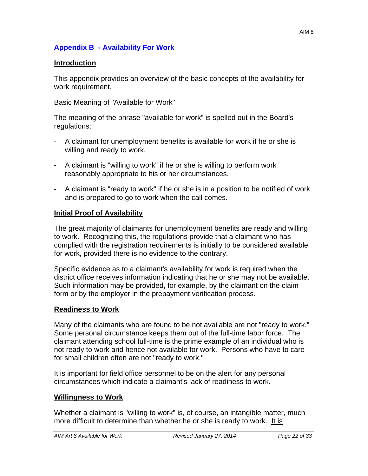### **Appendix B - Availability For Work**

#### **Introduction**

This appendix provides an overview of the basic concepts of the availability for work requirement.

Basic Meaning of "Available for Work"

The meaning of the phrase "available for work" is spelled out in the Board's regulations:

- A claimant for unemployment benefits is available for work if he or she is willing and ready to work.
- A claimant is "willing to work" if he or she is willing to perform work reasonably appropriate to his or her circumstances.
- A claimant is "ready to work" if he or she is in a position to be notified of work and is prepared to go to work when the call comes.

#### **Initial Proof of Availability**

The great majority of claimants for unemployment benefits are ready and willing to work. Recognizing this, the regulations provide that a claimant who has complied with the registration requirements is initially to be considered available for work, provided there is no evidence to the contrary.

Specific evidence as to a claimant's availability for work is required when the district office receives information indicating that he or she may not be available. Such information may be provided, for example, by the claimant on the claim form or by the employer in the prepayment verification process.

#### **Readiness to Work**

Many of the claimants who are found to be not available are not "ready to work." Some personal circumstance keeps them out of the full-time labor force. The claimant attending school full-time is the prime example of an individual who is not ready to work and hence not available for work. Persons who have to care for small children often are not "ready to work."

It is important for field office personnel to be on the alert for any personal circumstances which indicate a claimant's lack of readiness to work.

#### **Willingness to Work**

Whether a claimant is "willing to work" is, of course, an intangible matter, much more difficult to determine than whether he or she is ready to work. It is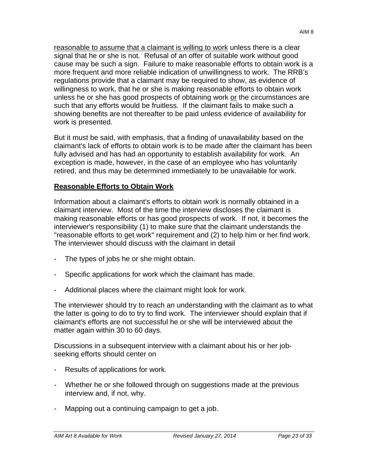reasonable to assume that a claimant is willing to work unless there is a clear signal that he or she is not. Refusal of an offer of suitable work without good cause may be such a sign. Failure to make reasonable efforts to obtain work is a more frequent and more reliable indication of unwillingness to work. The RRB's regulations provide that a claimant may be required to show, as evidence of willingness to work, that he or she is making reasonable efforts to obtain work unless he or she has good prospects of obtaining work or the circumstances are such that any efforts would be fruitless. If the claimant fails to make such a showing benefits are not thereafter to be paid unless evidence of availability for work is presented.

But it must be said, with emphasis, that a finding of unavailability based on the claimant's lack of efforts to obtain work is to be made after the claimant has been fully advised and has had an opportunity to establish availability for work. An exception is made, however, in the case of an employee who has voluntarily retired, and thus may be determined immediately to be unavailable for work.

#### **Reasonable Efforts to Obtain Work**

Information about a claimant's efforts to obtain work is normally obtained in a claimant interview. Most of the time the interview discloses the claimant is making reasonable efforts or has good prospects of work. If not, it becomes the interviewer's responsibility (1) to make sure that the claimant understands the "reasonable efforts to get work" requirement and (2) to help him or her find work. The interviewer should discuss with the claimant in detail

- The types of jobs he or she might obtain.
- Specific applications for work which the claimant has made.
- Additional places where the claimant might look for work.

The interviewer should try to reach an understanding with the claimant as to what the latter is going to do to try to find work. The interviewer should explain that if claimant's efforts are not successful he or she will be interviewed about the matter again within 30 to 60 days.

Discussions in a subsequent interview with a claimant about his or her jobseeking efforts should center on

- Results of applications for work.
- Whether he or she followed through on suggestions made at the previous interview and, if not, why.
- Mapping out a continuing campaign to get a job.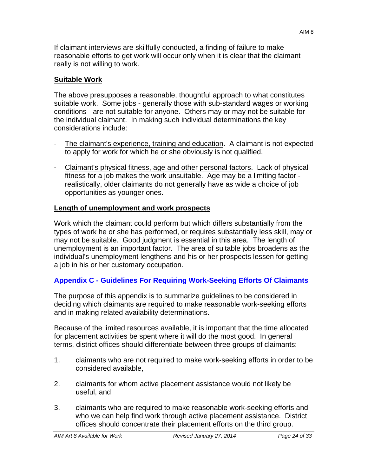If claimant interviews are skillfully conducted, a finding of failure to make reasonable efforts to get work will occur only when it is clear that the claimant really is not willing to work.

# **Suitable Work**

The above presupposes a reasonable, thoughtful approach to what constitutes suitable work. Some jobs - generally those with sub-standard wages or working conditions - are not suitable for anyone. Others may or may not be suitable for the individual claimant. In making such individual determinations the key considerations include:

- The claimant's experience, training and education. A claimant is not expected to apply for work for which he or she obviously is not qualified.
- Claimant's physical fitness, age and other personal factors. Lack of physical fitness for a job makes the work unsuitable. Age may be a limiting factor realistically, older claimants do not generally have as wide a choice of job opportunities as younger ones.

# **Length of unemployment and work prospects**

Work which the claimant could perform but which differs substantially from the types of work he or she has performed, or requires substantially less skill, may or may not be suitable. Good judgment is essential in this area. The length of unemployment is an important factor. The area of suitable jobs broadens as the individual's unemployment lengthens and his or her prospects lessen for getting a job in his or her customary occupation.

# **Appendix C - Guidelines For Requiring Work-Seeking Efforts Of Claimants**

The purpose of this appendix is to summarize guidelines to be considered in deciding which claimants are required to make reasonable work-seeking efforts and in making related availability determinations.

Because of the limited resources available, it is important that the time allocated for placement activities be spent where it will do the most good. In general terms, district offices should differentiate between three groups of claimants:

- 1. claimants who are not required to make work-seeking efforts in order to be considered available,
- 2. claimants for whom active placement assistance would not likely be useful, and
- 3. claimants who are required to make reasonable work-seeking efforts and who we can help find work through active placement assistance. District offices should concentrate their placement efforts on the third group.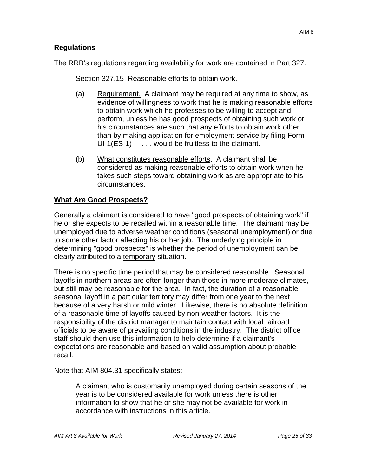### **Regulations**

The RRB's regulations regarding availability for work are contained in Part 327.

Section 327.15 Reasonable efforts to obtain work.

- $UI-1(ES-1)$  ... would be fruitless to the claimant. (a) Requirement. A claimant may be required at any time to show, as evidence of willingness to work that he is making reasonable efforts to obtain work which he professes to be willing to accept and perform, unless he has good prospects of obtaining such work or his circumstances are such that any efforts to obtain work other than by making application for employment service by filing Form
- (b) What constitutes reasonable efforts. A claimant shall be considered as making reasonable efforts to obtain work when he takes such steps toward obtaining work as are appropriate to his circumstances.

## **What Are Good Prospects?**

Generally a claimant is considered to have "good prospects of obtaining work" if he or she expects to be recalled within a reasonable time. The claimant may be unemployed due to adverse weather conditions (seasonal unemployment) or due to some other factor affecting his or her job. The underlying principle in determining "good prospects" is whether the period of unemployment can be clearly attributed to a temporary situation.

There is no specific time period that may be considered reasonable. Seasonal layoffs in northern areas are often longer than those in more moderate climates, but still may be reasonable for the area. In fact, the duration of a reasonable seasonal layoff in a particular territory may differ from one year to the next because of a very harsh or mild winter. Likewise, there is no absolute definition of a reasonable time of layoffs caused by non-weather factors. It is the responsibility of the district manager to maintain contact with local railroad officials to be aware of prevailing conditions in the industry. The district office staff should then use this information to help determine if a claimant's expectations are reasonable and based on valid assumption about probable recall.

Note that AIM 804.31 specifically states:

A claimant who is customarily unemployed during certain seasons of the year is to be considered available for work unless there is other information to show that he or she may not be available for work in accordance with instructions in this article.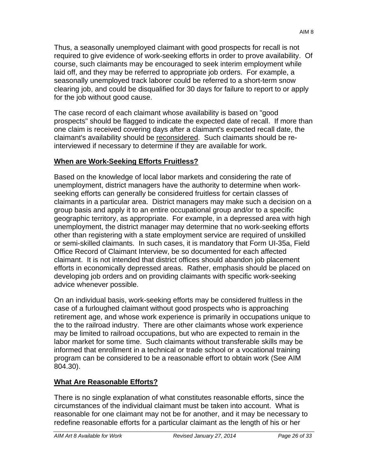Thus, a seasonally unemployed claimant with good prospects for recall is not required to give evidence of work-seeking efforts in order to prove availability. Of course, such claimants may be encouraged to seek interim employment while laid off, and they may be referred to appropriate job orders. For example, a seasonally unemployed track laborer could be referred to a short-term snow clearing job, and could be disqualified for 30 days for failure to report to or apply for the job without good cause.

The case record of each claimant whose availability is based on "good prospects" should be flagged to indicate the expected date of recall. If more than one claim is received covering days after a claimant's expected recall date, the claimant's availability should be reconsidered. Such claimants should be reinterviewed if necessary to determine if they are available for work.

# **When are Work-Seeking Efforts Fruitless?**

Based on the knowledge of local labor markets and considering the rate of unemployment, district managers have the authority to determine when workseeking efforts can generally be considered fruitless for certain classes of claimants in a particular area. District managers may make such a decision on a group basis and apply it to an entire occupational group and/or to a specific geographic territory, as appropriate. For example, in a depressed area with high unemployment, the district manager may determine that no work-seeking efforts other than registering with a state employment service are required of unskilled or semi-skilled claimants. In such cases, it is mandatory that Form UI-35a, Field Office Record of Claimant Interview, be so documented for each affected claimant. It is not intended that district offices should abandon job placement efforts in economically depressed areas. Rather, emphasis should be placed on developing job orders and on providing claimants with specific work-seeking advice whenever possible.

On an individual basis, work-seeking efforts may be considered fruitless in the case of a furloughed claimant without good prospects who is approaching retirement age, and whose work experience is primarily in occupations unique to the to the railroad industry. There are other claimants whose work experience may be limited to railroad occupations, but who are expected to remain in the labor market for some time. Such claimants without transferable skills may be informed that enrollment in a technical or trade school or a vocational training program can be considered to be a reasonable effort to obtain work (See AIM 804.30).

# **What Are Reasonable Efforts?**

There is no single explanation of what constitutes reasonable efforts, since the circumstances of the individual claimant must be taken into account. What is reasonable for one claimant may not be for another, and it may be necessary to redefine reasonable efforts for a particular claimant as the length of his or her

AIM 8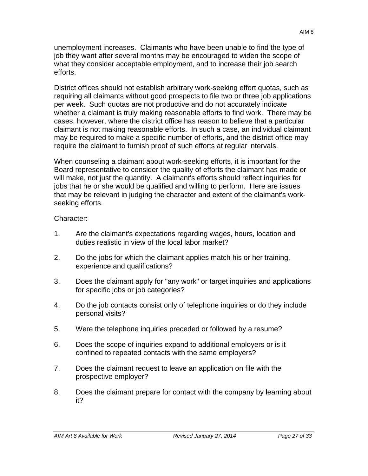unemployment increases. Claimants who have been unable to find the type of job they want after several months may be encouraged to widen the scope of what they consider acceptable employment, and to increase their job search efforts.

District offices should not establish arbitrary work-seeking effort quotas, such as requiring all claimants without good prospects to file two or three job applications per week. Such quotas are not productive and do not accurately indicate whether a claimant is truly making reasonable efforts to find work. There may be cases, however, where the district office has reason to believe that a particular claimant is not making reasonable efforts. In such a case, an individual claimant may be required to make a specific number of efforts, and the district office may require the claimant to furnish proof of such efforts at regular intervals.

When counseling a claimant about work-seeking efforts, it is important for the Board representative to consider the quality of efforts the claimant has made or will make, not just the quantity. A claimant's efforts should reflect inquiries for jobs that he or she would be qualified and willing to perform. Here are issues that may be relevant in judging the character and extent of the claimant's workseeking efforts.

### Character:

- 1. Are the claimant's expectations regarding wages, hours, location and duties realistic in view of the local labor market?
- 2. Do the jobs for which the claimant applies match his or her training, experience and qualifications?
- 3. Does the claimant apply for "any work" or target inquiries and applications for specific jobs or job categories?
- 4. Do the job contacts consist only of telephone inquiries or do they include personal visits?
- 5. Were the telephone inquiries preceded or followed by a resume?
- 6. Does the scope of inquiries expand to additional employers or is it confined to repeated contacts with the same employers?
- 7. Does the claimant request to leave an application on file with the prospective employer?
- 8. Does the claimant prepare for contact with the company by learning about it?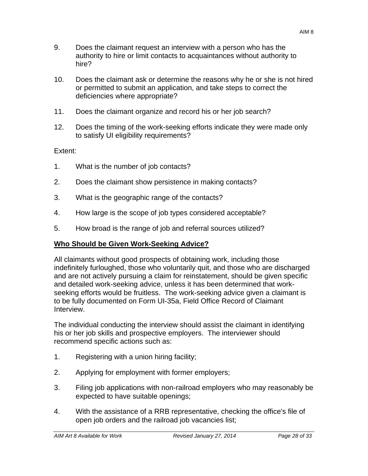AIM 8

- 9. Does the claimant request an interview with a person who has the authority to hire or limit contacts to acquaintances without authority to hire?
- 10. Does the claimant ask or determine the reasons why he or she is not hired or permitted to submit an application, and take steps to correct the deficiencies where appropriate?
- 11. Does the claimant organize and record his or her job search?
- 12. Does the timing of the work-seeking efforts indicate they were made only to satisfy UI eligibility requirements?

Extent:

- 1. What is the number of job contacts?
- 2. Does the claimant show persistence in making contacts?
- 3. What is the geographic range of the contacts?
- 4. How large is the scope of job types considered acceptable?
- 5. How broad is the range of job and referral sources utilized?

#### **Who Should be Given Work-Seeking Advice?**

All claimants without good prospects of obtaining work, including those indefinitely furloughed, those who voluntarily quit, and those who are discharged and are not actively pursuing a claim for reinstatement, should be given specific and detailed work-seeking advice, unless it has been determined that workseeking efforts would be fruitless. The work-seeking advice given a claimant is to be fully documented on Form UI-35a, Field Office Record of Claimant Interview.

The individual conducting the interview should assist the claimant in identifying his or her job skills and prospective employers. The interviewer should recommend specific actions such as:

- 1. Registering with a union hiring facility;
- 2. Applying for employment with former employers;
- 3. Filing job applications with non-railroad employers who may reasonably be expected to have suitable openings;
- 4. With the assistance of a RRB representative, checking the office's file of open job orders and the railroad job vacancies list;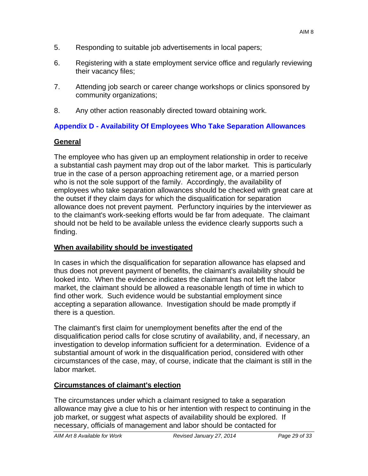- 5. Responding to suitable job advertisements in local papers;
- 6. Registering with a state employment service office and regularly reviewing their vacancy files;
- 7. Attending job search or career change workshops or clinics sponsored by community organizations;
- 8. Any other action reasonably directed toward obtaining work.

## **Appendix D - Availability Of Employees Who Take Separation Allowances**

## **General**

The employee who has given up an employment relationship in order to receive a substantial cash payment may drop out of the labor market. This is particularly true in the case of a person approaching retirement age, or a married person who is not the sole support of the family. Accordingly, the availability of employees who take separation allowances should be checked with great care at the outset if they claim days for which the disqualification for separation allowance does not prevent payment. Perfunctory inquiries by the interviewer as to the claimant's work-seeking efforts would be far from adequate. The claimant should not be held to be available unless the evidence clearly supports such a finding.

## **When availability should be investigated**

In cases in which the disqualification for separation allowance has elapsed and thus does not prevent payment of benefits, the claimant's availability should be looked into. When the evidence indicates the claimant has not left the labor market, the claimant should be allowed a reasonable length of time in which to find other work. Such evidence would be substantial employment since accepting a separation allowance. Investigation should be made promptly if there is a question.

The claimant's first claim for unemployment benefits after the end of the disqualification period calls for close scrutiny of availability, and, if necessary, an investigation to develop information sufficient for a determination. Evidence of a substantial amount of work in the disqualification period, considered with other circumstances of the case, may, of course, indicate that the claimant is still in the labor market.

# **Circumstances of claimant's election**

The circumstances under which a claimant resigned to take a separation allowance may give a clue to his or her intention with respect to continuing in the job market, or suggest what aspects of availability should be explored. If necessary, officials of management and labor should be contacted for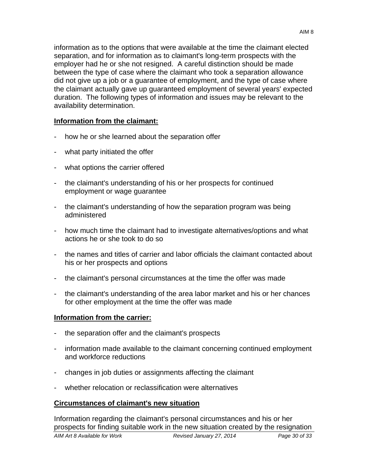information as to the options that were available at the time the claimant elected separation, and for information as to claimant's long-term prospects with the employer had he or she not resigned. A careful distinction should be made between the type of case where the claimant who took a separation allowance did not give up a job or a guarantee of employment, and the type of case where the claimant actually gave up guaranteed employment of several years' expected duration. The following types of information and issues may be relevant to the

#### **Information from the claimant:**

availability determination.

- how he or she learned about the separation offer
- what party initiated the offer
- what options the carrier offered
- the claimant's understanding of his or her prospects for continued employment or wage guarantee
- the claimant's understanding of how the separation program was being administered
- how much time the claimant had to investigate alternatives/options and what actions he or she took to do so
- the names and titles of carrier and labor officials the claimant contacted about his or her prospects and options
- the claimant's personal circumstances at the time the offer was made
- the claimant's understanding of the area labor market and his or her chances for other employment at the time the offer was made

#### **Information from the carrier:**

- the separation offer and the claimant's prospects
- information made available to the claimant concerning continued employment and workforce reductions
- changes in job duties or assignments affecting the claimant
- whether relocation or reclassification were alternatives

#### **Circumstances of claimant's new situation**

Information regarding the claimant's personal circumstances and his or her prospects for finding suitable work in the new situation created by the resignation *AIM Art 8 Available for Work Revised January 27, 2014 Page 30 of 33*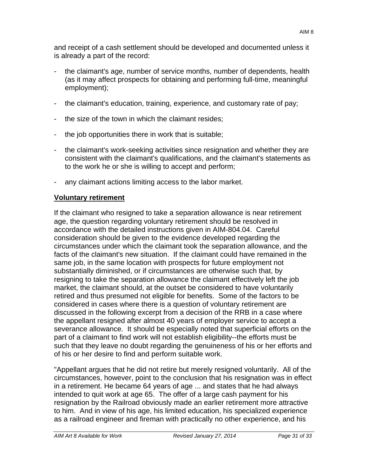and receipt of a cash settlement should be developed and documented unless it is already a part of the record:

- the claimant's age, number of service months, number of dependents, health (as it may affect prospects for obtaining and performing full-time, meaningful employment);
- the claimant's education, training, experience, and customary rate of pay;
- the size of the town in which the claimant resides;
- the job opportunities there in work that is suitable;
- the claimant's work-seeking activities since resignation and whether they are consistent with the claimant's qualifications, and the claimant's statements as to the work he or she is willing to accept and perform;
- any claimant actions limiting access to the labor market.

# **Voluntary retirement**

If the claimant who resigned to take a separation allowance is near retirement age, the question regarding voluntary retirement should be resolved in accordance with the detailed instructions given in AIM-804.04. Careful consideration should be given to the evidence developed regarding the circumstances under which the claimant took the separation allowance, and the facts of the claimant's new situation. If the claimant could have remained in the same job, in the same location with prospects for future employment not substantially diminished, or if circumstances are otherwise such that, by resigning to take the separation allowance the claimant effectively left the job market, the claimant should, at the outset be considered to have voluntarily retired and thus presumed not eligible for benefits. Some of the factors to be considered in cases where there is a question of voluntary retirement are discussed in the following excerpt from a decision of the RRB in a case where the appellant resigned after almost 40 years of employer service to accept a severance allowance. It should be especially noted that superficial efforts on the part of a claimant to find work will not establish eligibility--the efforts must be such that they leave no doubt regarding the genuineness of his or her efforts and of his or her desire to find and perform suitable work.

"Appellant argues that he did not retire but merely resigned voluntarily. All of the circumstances, however, point to the conclusion that his resignation was in effect in a retirement. He became 64 years of age ... and states that he had always intended to quit work at age 65. The offer of a large cash payment for his resignation by the Railroad obviously made an earlier retirement more attractive to him. And in view of his age, his limited education, his specialized experience as a railroad engineer and fireman with practically no other experience, and his